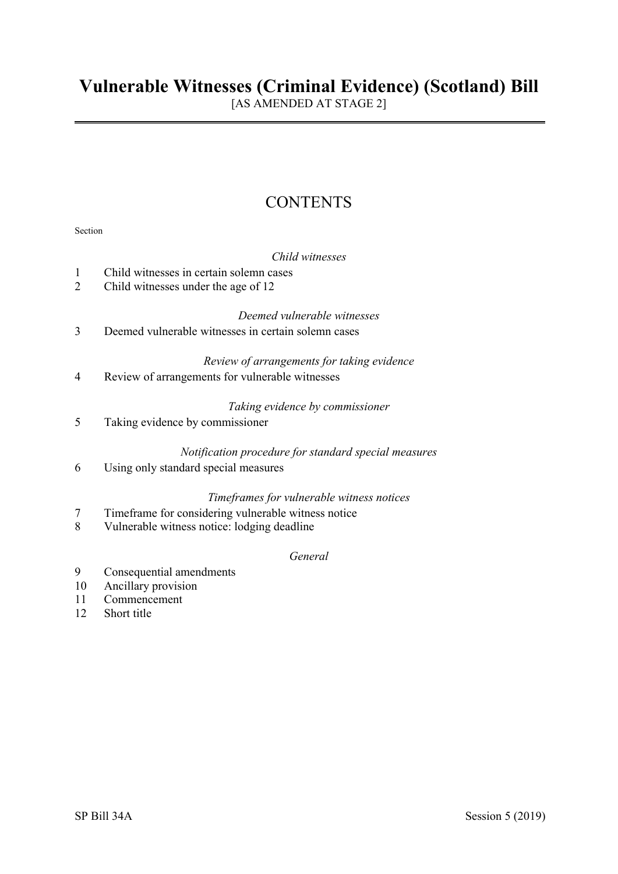[AS AMENDED AT STAGE 2]

# **CONTENTS**

|        | Child witnesses                                                                                    |
|--------|----------------------------------------------------------------------------------------------------|
| 1      | Child witnesses in certain solemn cases                                                            |
| 2      | Child witnesses under the age of 12                                                                |
|        | Deemed vulnerable witnesses                                                                        |
| 3      | Deemed vulnerable witnesses in certain solemn cases                                                |
|        | Review of arrangements for taking evidence                                                         |
| 4      | Review of arrangements for vulnerable witnesses                                                    |
|        | Taking evidence by commissioner                                                                    |
| 5      | Taking evidence by commissioner                                                                    |
|        | Notification procedure for standard special measures                                               |
| 6      | Using only standard special measures                                                               |
|        |                                                                                                    |
|        | Timeframes for vulnerable witness notices                                                          |
| 7<br>8 | Timeframe for considering vulnerable witness notice<br>Vulnerable witness notice: lodging deadline |
|        |                                                                                                    |
|        | General                                                                                            |

- 9 Consequential amendments
- 10 Ancillary provision
- 11 Commencement
- 12 Short title

Section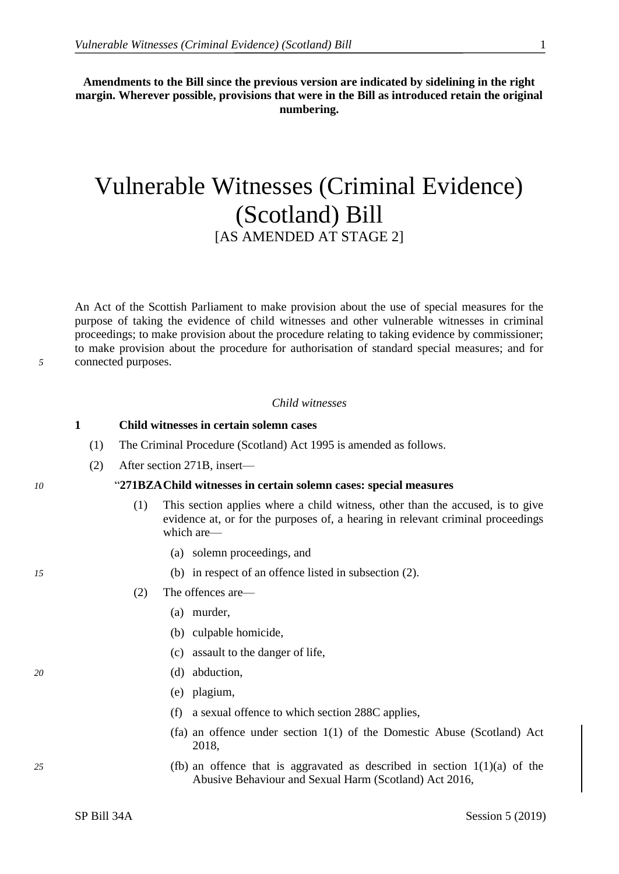**Amendments to the Bill since the previous version are indicated by sidelining in the right margin. Wherever possible, provisions that were in the Bill as introduced retain the original numbering.**

# Vulnerable Witnesses (Criminal Evidence) (Scotland) Bill [AS AMENDED AT STAGE 2]

An Act of the Scottish Parliament to make provision about the use of special measures for the purpose of taking the evidence of child witnesses and other vulnerable witnesses in criminal proceedings; to make provision about the procedure relating to taking evidence by commissioner; to make provision about the procedure for authorisation of standard special measures; and for *5* connected purposes.

### *Child witnesses*

### **1 Child witnesses in certain solemn cases**

- (1) The Criminal Procedure (Scotland) Act 1995 is amended as follows.
- (2) After section 271B, insert—

### *10* "**271BZAChild witnesses in certain solemn cases: special measures**

- (1) This section applies where a child witness, other than the accused, is to give evidence at, or for the purposes of, a hearing in relevant criminal proceedings which are—
	- (a) solemn proceedings, and
- *15* (b) in respect of an offence listed in subsection (2).
	- (2) The offences are—
		- (a) murder,
		- (b) culpable homicide,
		- (c) assault to the danger of life,
- *20* (d) abduction,
	- (e) plagium,
	- (f) a sexual offence to which section 288C applies,
	- (fa) an offence under section 1(1) of the Domestic Abuse (Scotland) Act 2018,
- *25* (fb) an offence that is aggravated as described in section 1(1)(a) of the Abusive Behaviour and Sexual Harm (Scotland) Act 2016,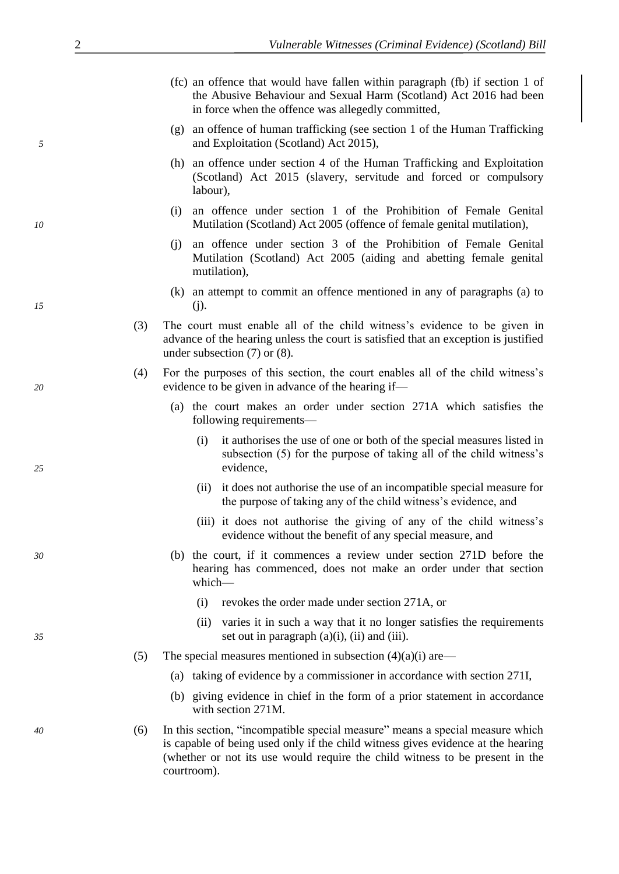- (fc) an offence that would have fallen within paragraph (fb) if section 1 of the Abusive Behaviour and Sexual Harm (Scotland) Act 2016 had been in force when the offence was allegedly committed,
- (g) an offence of human trafficking (see section 1 of the Human Trafficking *5* and Exploitation (Scotland) Act 2015),
	- (h) an offence under section 4 of the Human Trafficking and Exploitation (Scotland) Act 2015 (slavery, servitude and forced or compulsory labour),
- (i) an offence under section 1 of the Prohibition of Female Genital *10* Mutilation (Scotland) Act 2005 (offence of female genital mutilation),
	- (j) an offence under section 3 of the Prohibition of Female Genital Mutilation (Scotland) Act 2005 (aiding and abetting female genital mutilation),
- (k) an attempt to commit an offence mentioned in any of paragraphs (a) to *15* (j).
	- (3) The court must enable all of the child witness's evidence to be given in advance of the hearing unless the court is satisfied that an exception is justified under subsection (7) or (8).
- (4) For the purposes of this section, the court enables all of the child witness's *20* evidence to be given in advance of the hearing if—
	- (a) the court makes an order under section 271A which satisfies the following requirements—
- (i) it authorises the use of one or both of the special measures listed in subsection (5) for the purpose of taking all of the child witness's *25* evidence,
	- (ii) it does not authorise the use of an incompatible special measure for the purpose of taking any of the child witness's evidence, and
	- (iii) it does not authorise the giving of any of the child witness's evidence without the benefit of any special measure, and
- *30* (b) the court, if it commences a review under section 271D before the hearing has commenced, does not make an order under that section which—
	- (i) revokes the order made under section 271A, or
- (ii) varies it in such a way that it no longer satisfies the requirements *35* set out in paragraph (a)(i), (ii) and (iii).
	- (5) The special measures mentioned in subsection  $(4)(a)(i)$  are—
		- (a) taking of evidence by a commissioner in accordance with section 271I,
		- (b) giving evidence in chief in the form of a prior statement in accordance with section 271M.
- *40* (6) In this section, "incompatible special measure" means a special measure which is capable of being used only if the child witness gives evidence at the hearing (whether or not its use would require the child witness to be present in the courtroom).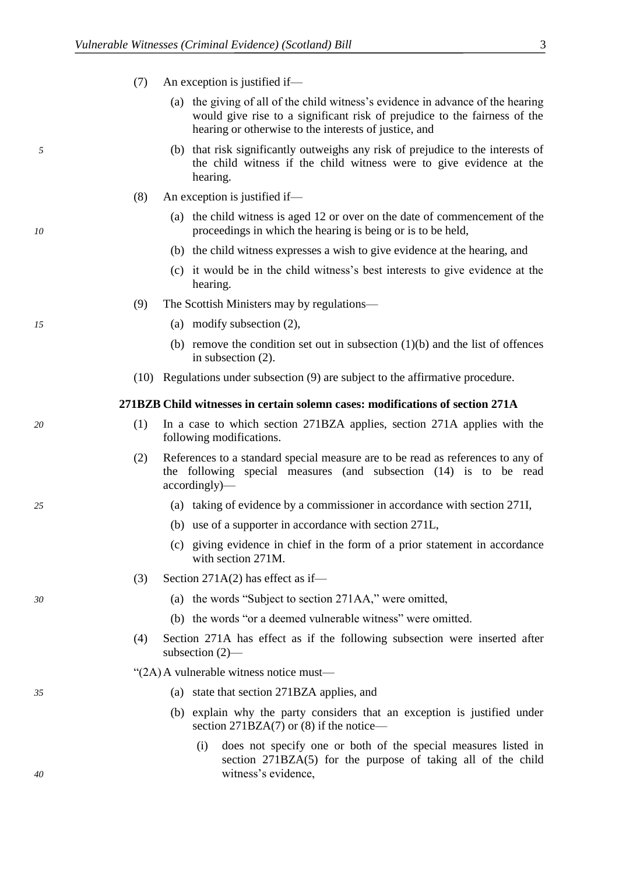- (7) An exception is justified if—
	- (a) the giving of all of the child witness's evidence in advance of the hearing would give rise to a significant risk of prejudice to the fairness of the hearing or otherwise to the interests of justice, and
- *5* (b) that risk significantly outweighs any risk of prejudice to the interests of the child witness if the child witness were to give evidence at the hearing.
	- (8) An exception is justified if—
- (a) the child witness is aged 12 or over on the date of commencement of the *10* proceedings in which the hearing is being or is to be held,
	- (b) the child witness expresses a wish to give evidence at the hearing, and
	- (c) it would be in the child witness's best interests to give evidence at the hearing.
	- (9) The Scottish Ministers may by regulations—
- *15* (a) modify subsection (2),
	- (b) remove the condition set out in subsection  $(1)(b)$  and the list of offences in subsection (2).
	- (10) Regulations under subsection (9) are subject to the affirmative procedure.

### **271BZB Child witnesses in certain solemn cases: modifications of section 271A**

- *20* (1) In a case to which section 271BZA applies, section 271A applies with the following modifications.
	- (2) References to a standard special measure are to be read as references to any of the following special measures (and subsection (14) is to be read accordingly)—
- *25* (a) taking of evidence by a commissioner in accordance with section 271I,
	- (b) use of a supporter in accordance with section 271L,
	- (c) giving evidence in chief in the form of a prior statement in accordance with section 271M.
	- (3) Section 271A(2) has effect as if—
- *30* (a) the words "Subject to section 271AA," were omitted,
	- (b) the words "or a deemed vulnerable witness" were omitted.
	- (4) Section 271A has effect as if the following subsection were inserted after subsection (2)—

### "(2A)A vulnerable witness notice must—

- *35* (a) state that section 271BZA applies, and
	- (b) explain why the party considers that an exception is justified under section 271BZA(7) or (8) if the notice—
- (i) does not specify one or both of the special measures listed in section 271BZA(5) for the purpose of taking all of the child *40* witness's evidence,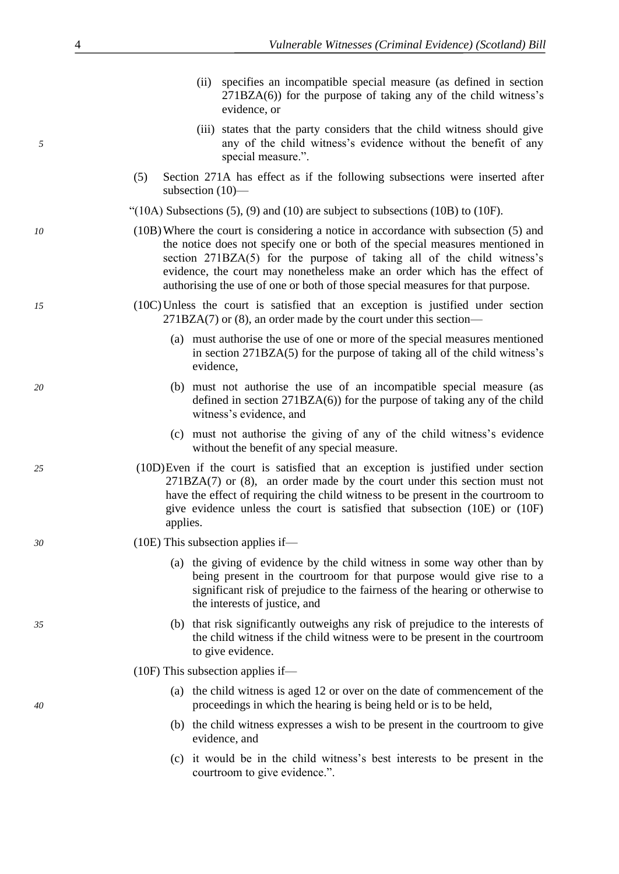| (ii) specifies an incompatible special measure (as defined in section |
|-----------------------------------------------------------------------|
| $271BZA(6)$ for the purpose of taking any of the child witness's      |
| evidence, or                                                          |

- (iii) states that the party considers that the child witness should give *5* any of the child witness's evidence without the benefit of any special measure.".
	- (5) Section 271A has effect as if the following subsections were inserted after subsection (10)—
	- "(10A) Subsections  $(5)$ ,  $(9)$  and  $(10)$  are subject to subsections  $(10B)$  to  $(10F)$ .
- *10* (10B)Where the court is considering a notice in accordance with subsection (5) and the notice does not specify one or both of the special measures mentioned in section 271BZA(5) for the purpose of taking all of the child witness's evidence, the court may nonetheless make an order which has the effect of authorising the use of one or both of those special measures for that purpose.
- *15* (10C)Unless the court is satisfied that an exception is justified under section 271BZA(7) or (8), an order made by the court under this section—
	- (a) must authorise the use of one or more of the special measures mentioned in section 271BZA(5) for the purpose of taking all of the child witness's evidence,
- *20* (b) must not authorise the use of an incompatible special measure (as defined in section 271BZA(6)) for the purpose of taking any of the child witness's evidence, and
	- (c) must not authorise the giving of any of the child witness's evidence without the benefit of any special measure.
- *25* (10D)Even if the court is satisfied that an exception is justified under section 271BZA(7) or (8), an order made by the court under this section must not have the effect of requiring the child witness to be present in the courtroom to give evidence unless the court is satisfied that subsection (10E) or (10F) applies.
- *30* (10E) This subsection applies if—
	- (a) the giving of evidence by the child witness in some way other than by being present in the courtroom for that purpose would give rise to a significant risk of prejudice to the fairness of the hearing or otherwise to the interests of justice, and
- *35* (b) that risk significantly outweighs any risk of prejudice to the interests of the child witness if the child witness were to be present in the courtroom to give evidence.
	- (10F) This subsection applies if—
- (a) the child witness is aged 12 or over on the date of commencement of the *40* proceedings in which the hearing is being held or is to be held,
	- (b) the child witness expresses a wish to be present in the courtroom to give evidence, and
	- (c) it would be in the child witness's best interests to be present in the courtroom to give evidence.".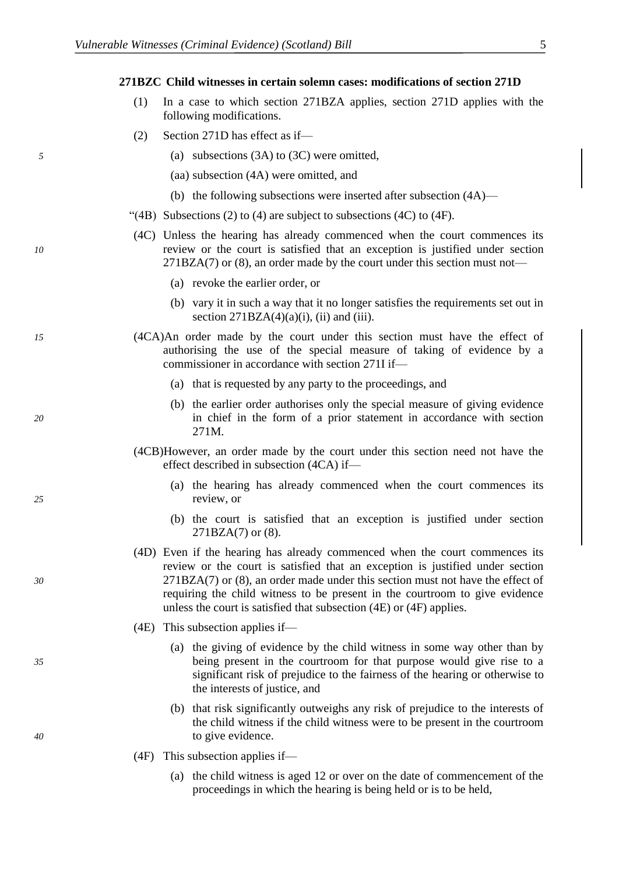**271BZC Child witnesses in certain solemn cases: modifications of section 271D**

- (1) In a case to which section 271BZA applies, section 271D applies with the following modifications.
- (2) Section 271D has effect as if—
- *5* (a) subsections (3A) to (3C) were omitted,
	- (aa) subsection (4A) were omitted, and
	- (b) the following subsections were inserted after subsection (4A)—
	- "(4B) Subsections (2) to (4) are subject to subsections (4C) to (4F).
- (4C) Unless the hearing has already commenced when the court commences its *10* review or the court is satisfied that an exception is justified under section 271BZA(7) or (8), an order made by the court under this section must not—
	- (a) revoke the earlier order, or
	- (b) vary it in such a way that it no longer satisfies the requirements set out in section  $271BZA(4)(a)(i)$ , (ii) and (iii).
- *15* (4CA)An order made by the court under this section must have the effect of authorising the use of the special measure of taking of evidence by a commissioner in accordance with section 271I if—
	- (a) that is requested by any party to the proceedings, and
- (b) the earlier order authorises only the special measure of giving evidence *20* in chief in the form of a prior statement in accordance with section 271M.
	- (4CB)However, an order made by the court under this section need not have the effect described in subsection (4CA) if—
- (a) the hearing has already commenced when the court commences its *25* review, or
	- (b) the court is satisfied that an exception is justified under section 271BZA(7) or (8).
- (4D) Even if the hearing has already commenced when the court commences its review or the court is satisfied that an exception is justified under section *30* 271BZA(7) or (8), an order made under this section must not have the effect of requiring the child witness to be present in the courtroom to give evidence unless the court is satisfied that subsection (4E) or (4F) applies.
	- (4E) This subsection applies if—
- (a) the giving of evidence by the child witness in some way other than by *35* being present in the courtroom for that purpose would give rise to a significant risk of prejudice to the fairness of the hearing or otherwise to the interests of justice, and
- (b) that risk significantly outweighs any risk of prejudice to the interests of the child witness if the child witness were to be present in the courtroom *40* to give evidence.
	- (4F) This subsection applies if—
		- (a) the child witness is aged 12 or over on the date of commencement of the proceedings in which the hearing is being held or is to be held,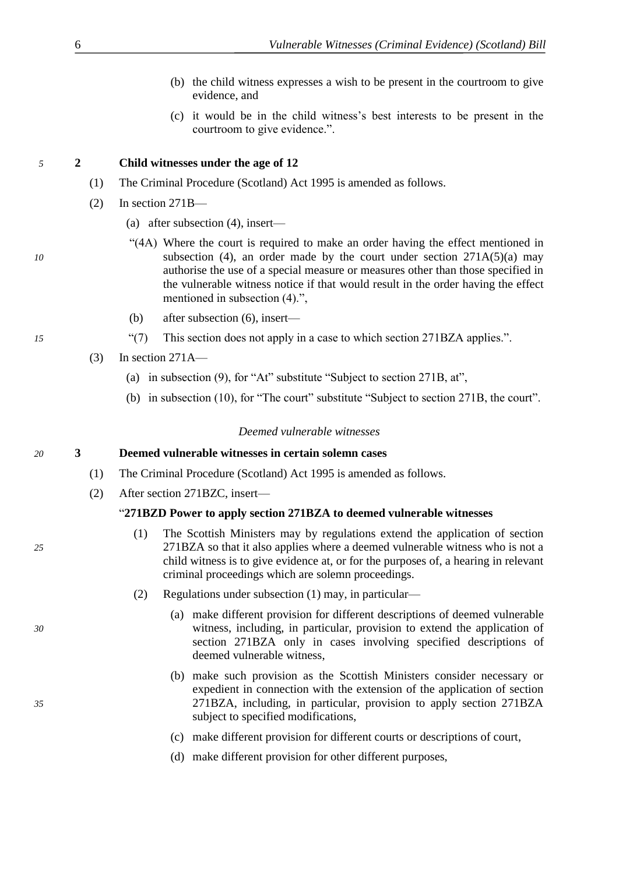- (b) the child witness expresses a wish to be present in the courtroom to give evidence, and
- (c) it would be in the child witness's best interests to be present in the courtroom to give evidence.".

## *5* **2 Child witnesses under the age of 12**

- (1) The Criminal Procedure (Scotland) Act 1995 is amended as follows.
- (2) In section 271B—
	- (a) after subsection (4), insert—
- "(4A) Where the court is required to make an order having the effect mentioned in *10* subsection (4), an order made by the court under section 271A(5)(a) may authorise the use of a special measure or measures other than those specified in the vulnerable witness notice if that would result in the order having the effect mentioned in subsection (4).",
	- (b) after subsection (6), insert—
- *15* "(7) This section does not apply in a case to which section 271BZA applies.".
	- $(3)$  In section 271A—
		- (a) in subsection (9), for "At" substitute "Subject to section 271B, at",
		- (b) in subsection (10), for "The court" substitute "Subject to section 271B, the court".

## *Deemed vulnerable witnesses*

# *20* **3 Deemed vulnerable witnesses in certain solemn cases**

- (1) The Criminal Procedure (Scotland) Act 1995 is amended as follows.
- (2) After section 271BZC, insert—

# "**271BZD Power to apply section 271BZA to deemed vulnerable witnesses**

- (1) The Scottish Ministers may by regulations extend the application of section *25* 271BZA so that it also applies where a deemed vulnerable witness who is not a child witness is to give evidence at, or for the purposes of, a hearing in relevant criminal proceedings which are solemn proceedings.
	- (2) Regulations under subsection (1) may, in particular—
- (a) make different provision for different descriptions of deemed vulnerable *30* witness, including, in particular, provision to extend the application of section 271BZA only in cases involving specified descriptions of deemed vulnerable witness,
- (b) make such provision as the Scottish Ministers consider necessary or expedient in connection with the extension of the application of section *35* 271BZA, including, in particular, provision to apply section 271BZA subject to specified modifications,
	- (c) make different provision for different courts or descriptions of court,
	- (d) make different provision for other different purposes,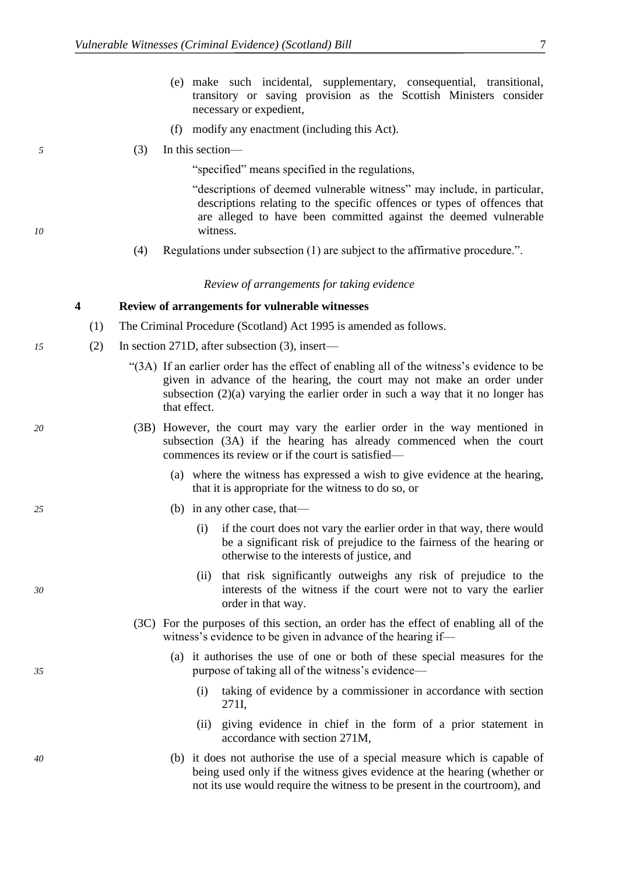- (e) make such incidental, supplementary, consequential, transitional, transitory or saving provision as the Scottish Ministers consider necessary or expedient,
- (f) modify any enactment (including this Act).
- *5* (3) In this section—

"specified" means specified in the regulations,

"descriptions of deemed vulnerable witness" may include, in particular, descriptions relating to the specific offences or types of offences that are alleged to have been committed against the deemed vulnerable *10* witness.

(4) Regulations under subsection (1) are subject to the affirmative procedure.".

### *Review of arrangements for taking evidence*

### **4 Review of arrangements for vulnerable witnesses**

- (1) The Criminal Procedure (Scotland) Act 1995 is amended as follows.
- *15* (2) In section 271D, after subsection (3), insert—
	- "(3A) If an earlier order has the effect of enabling all of the witness's evidence to be given in advance of the hearing, the court may not make an order under subsection  $(2)(a)$  varying the earlier order in such a way that it no longer has that effect.
- *20* (3B) However, the court may vary the earlier order in the way mentioned in subsection (3A) if the hearing has already commenced when the court commences its review or if the court is satisfied—
	- (a) where the witness has expressed a wish to give evidence at the hearing, that it is appropriate for the witness to do so, or
- *25* (b) in any other case, that—
	- (i) if the court does not vary the earlier order in that way, there would be a significant risk of prejudice to the fairness of the hearing or otherwise to the interests of justice, and
- (ii) that risk significantly outweighs any risk of prejudice to the *30* interests of the witness if the court were not to vary the earlier order in that way.
	- (3C) For the purposes of this section, an order has the effect of enabling all of the witness's evidence to be given in advance of the hearing if—
- (a) it authorises the use of one or both of these special measures for the *35* purpose of taking all of the witness's evidence—
	- (i) taking of evidence by a commissioner in accordance with section 271I,
	- (ii) giving evidence in chief in the form of a prior statement in accordance with section 271M,
- *40* (b) it does not authorise the use of a special measure which is capable of being used only if the witness gives evidence at the hearing (whether or not its use would require the witness to be present in the courtroom), and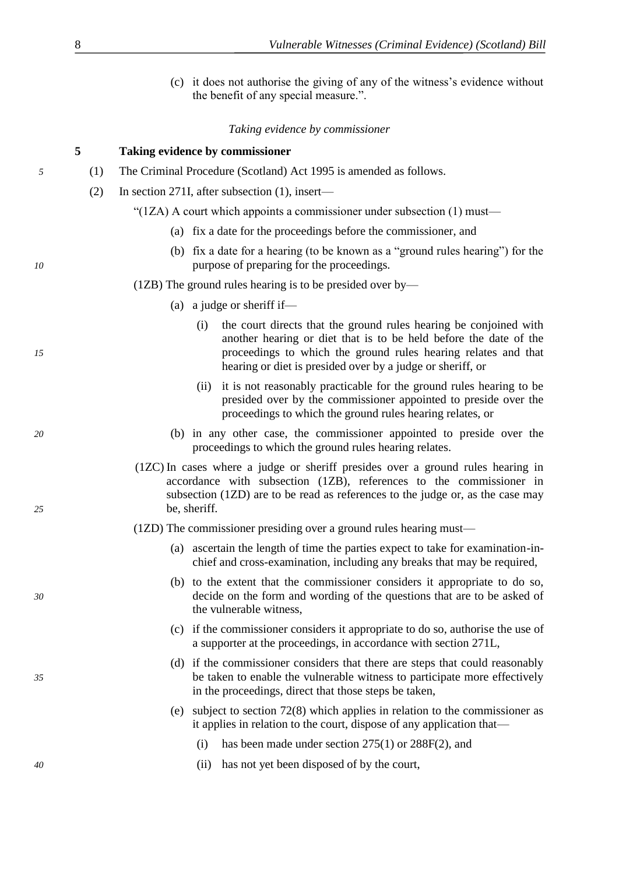|                                                                               |                                                       |  |              | (c) it does not authorise the giving of any of the witness's evidence without<br>the benefit of any special measure.".                                                                                                                                                 |
|-------------------------------------------------------------------------------|-------------------------------------------------------|--|--------------|------------------------------------------------------------------------------------------------------------------------------------------------------------------------------------------------------------------------------------------------------------------------|
|                                                                               |                                                       |  |              | Taking evidence by commissioner                                                                                                                                                                                                                                        |
|                                                                               | 5                                                     |  |              | Taking evidence by commissioner                                                                                                                                                                                                                                        |
| The Criminal Procedure (Scotland) Act 1995 is amended as follows.<br>(1)<br>5 |                                                       |  |              |                                                                                                                                                                                                                                                                        |
|                                                                               | In section 271I, after subsection (1), insert—<br>(2) |  |              |                                                                                                                                                                                                                                                                        |
|                                                                               |                                                       |  |              | "(1ZA) A court which appoints a commissioner under subsection $(1)$ must—                                                                                                                                                                                              |
|                                                                               |                                                       |  |              | (a) fix a date for the proceedings before the commissioner, and                                                                                                                                                                                                        |
| 10                                                                            |                                                       |  |              | (b) fix a date for a hearing (to be known as a "ground rules hearing") for the<br>purpose of preparing for the proceedings.                                                                                                                                            |
|                                                                               |                                                       |  |              | $(1ZB)$ The ground rules hearing is to be presided over by—                                                                                                                                                                                                            |
|                                                                               |                                                       |  |              | (a) a judge or sheriff if—                                                                                                                                                                                                                                             |
| 15                                                                            |                                                       |  | (i)          | the court directs that the ground rules hearing be conjoined with<br>another hearing or diet that is to be held before the date of the<br>proceedings to which the ground rules hearing relates and that<br>hearing or diet is presided over by a judge or sheriff, or |
|                                                                               |                                                       |  |              | (ii) it is not reasonably practicable for the ground rules hearing to be<br>presided over by the commissioner appointed to preside over the<br>proceedings to which the ground rules hearing relates, or                                                               |
| 20                                                                            |                                                       |  |              | (b) in any other case, the commissioner appointed to preside over the<br>proceedings to which the ground rules hearing relates.                                                                                                                                        |
| 25                                                                            |                                                       |  | be, sheriff. | (1ZC) In cases where a judge or sheriff presides over a ground rules hearing in<br>accordance with subsection (1ZB), references to the commissioner in<br>subsection (1ZD) are to be read as references to the judge or, as the case may                               |
|                                                                               |                                                       |  |              | (1ZD) The commissioner presiding over a ground rules hearing must-                                                                                                                                                                                                     |
|                                                                               |                                                       |  |              | (a) ascertain the length of time the parties expect to take for examination-in-<br>chief and cross-examination, including any breaks that may be required,                                                                                                             |
| 30                                                                            |                                                       |  |              | (b) to the extent that the commissioner considers it appropriate to do so,<br>decide on the form and wording of the questions that are to be asked of<br>the vulnerable witness,                                                                                       |
|                                                                               |                                                       |  |              | (c) if the commissioner considers it appropriate to do so, authorise the use of<br>a supporter at the proceedings, in accordance with section 271L,                                                                                                                    |
| 35                                                                            |                                                       |  |              | (d) if the commissioner considers that there are steps that could reasonably<br>be taken to enable the vulnerable witness to participate more effectively<br>in the proceedings, direct that those steps be taken,                                                     |
|                                                                               |                                                       |  |              | (e) subject to section $72(8)$ which applies in relation to the commissioner as<br>it applies in relation to the court, dispose of any application that—                                                                                                               |
|                                                                               |                                                       |  | (i)          | has been made under section $275(1)$ or $288F(2)$ , and                                                                                                                                                                                                                |
| 40                                                                            |                                                       |  | (ii)         | has not yet been disposed of by the court,                                                                                                                                                                                                                             |

8 *Vulnerable Witnesses (Criminal Evidence) (Scotland) Bill*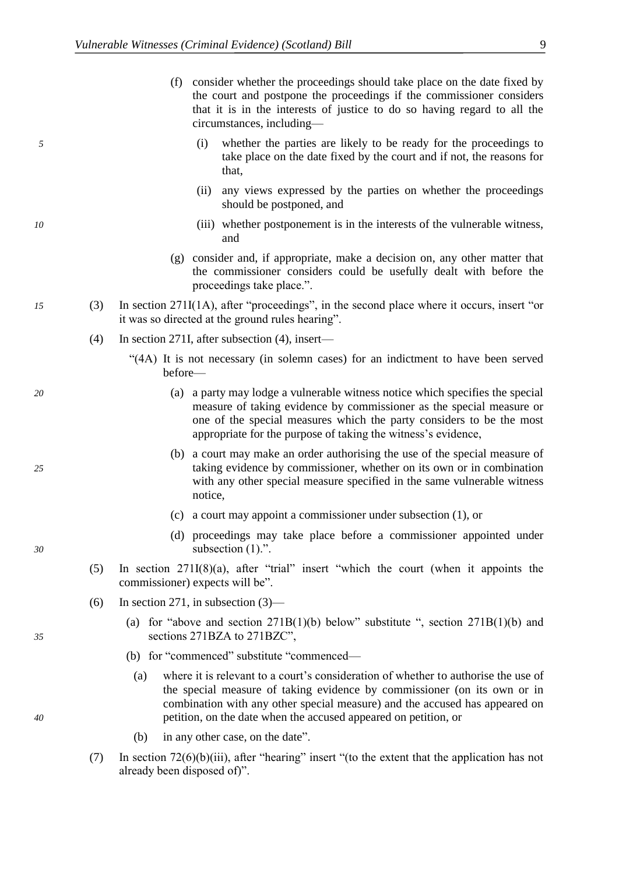(f) consider whether the proceedings should take place on the date fixed by the court and postpone the proceedings if the commissioner considers that it is in the interests of justice to do so having regard to all the circumstances, including—

- *5* (i) whether the parties are likely to be ready for the proceedings to take place on the date fixed by the court and if not, the reasons for that,
	- (ii) any views expressed by the parties on whether the proceedings should be postponed, and
- *10* (iii) whether postponement is in the interests of the vulnerable witness, and
	- (g) consider and, if appropriate, make a decision on, any other matter that the commissioner considers could be usefully dealt with before the proceedings take place.".
- *15* (3) In section 271I(1A), after "proceedings", in the second place where it occurs, insert "or it was so directed at the ground rules hearing".
	- (4) In section 271I, after subsection (4), insert—
		- "(4A) It is not necessary (in solemn cases) for an indictment to have been served before—
- *20* (a) a party may lodge a vulnerable witness notice which specifies the special measure of taking evidence by commissioner as the special measure or one of the special measures which the party considers to be the most appropriate for the purpose of taking the witness's evidence,
- (b) a court may make an order authorising the use of the special measure of *25* taking evidence by commissioner, whether on its own or in combination with any other special measure specified in the same vulnerable witness notice,
	- (c) a court may appoint a commissioner under subsection (1), or
- (d) proceedings may take place before a commissioner appointed under *30* subsection (1).".
	- (5) In section 271I(8)(a), after "trial" insert "which the court (when it appoints the commissioner) expects will be".
	- (6) In section 271, in subsection  $(3)$ —
- (a) for "above and section  $271B(1)(b)$  below" substitute ", section  $271B(1)(b)$  and *35* sections 271BZA to 271BZC",
	- (b) for "commenced" substitute "commenced—
- (a) where it is relevant to a court's consideration of whether to authorise the use of the special measure of taking evidence by commissioner (on its own or in combination with any other special measure) and the accused has appeared on *40* petition, on the date when the accused appeared on petition, or
	- (b) in any other case, on the date".
	- (7) In section 72(6)(b)(iii), after "hearing" insert "(to the extent that the application has not already been disposed of)".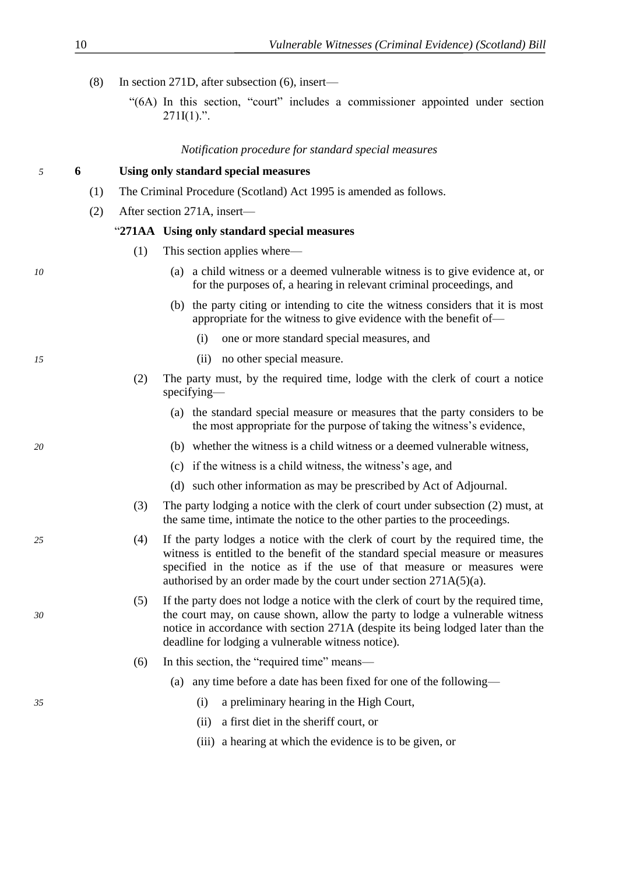- (8) In section 271D, after subsection (6), insert—
	- "(6A) In this section, "court" includes a commissioner appointed under section  $271I(1)$ .".

### *Notification procedure for standard special measures*

### *5* **6 Using only standard special measures**

- (1) The Criminal Procedure (Scotland) Act 1995 is amended as follows.
- (2) After section 271A, insert—

### "**271AA Using only standard special measures**

- (1) This section applies where—
- *10* (a) a child witness or a deemed vulnerable witness is to give evidence at, or for the purposes of, a hearing in relevant criminal proceedings, and
	- (b) the party citing or intending to cite the witness considers that it is most appropriate for the witness to give evidence with the benefit of—
		- (i) one or more standard special measures, and
- *15* (ii) no other special measure.
	- (2) The party must, by the required time, lodge with the clerk of court a notice specifying—
		- (a) the standard special measure or measures that the party considers to be the most appropriate for the purpose of taking the witness's evidence,
- *20* (b) whether the witness is a child witness or a deemed vulnerable witness,
	- (c) if the witness is a child witness, the witness's age, and
	- (d) such other information as may be prescribed by Act of Adjournal.
	- (3) The party lodging a notice with the clerk of court under subsection (2) must, at the same time, intimate the notice to the other parties to the proceedings.
- *25* (4) If the party lodges a notice with the clerk of court by the required time, the witness is entitled to the benefit of the standard special measure or measures specified in the notice as if the use of that measure or measures were authorised by an order made by the court under section 271A(5)(a).
- (5) If the party does not lodge a notice with the clerk of court by the required time, *30* the court may, on cause shown, allow the party to lodge a vulnerable witness notice in accordance with section 271A (despite its being lodged later than the deadline for lodging a vulnerable witness notice).
	- (6) In this section, the "required time" means—
		- (a) any time before a date has been fixed for one of the following—
- *35* (i) a preliminary hearing in the High Court,
	- (ii) a first diet in the sheriff court, or
	- (iii) a hearing at which the evidence is to be given, or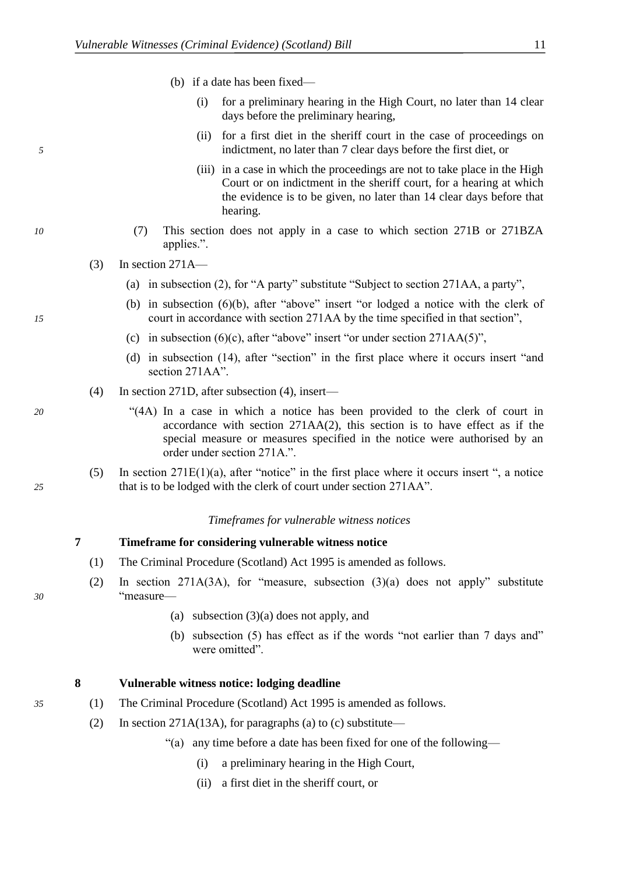- (b) if a date has been fixed—
	- (i) for a preliminary hearing in the High Court, no later than 14 clear days before the preliminary hearing,
- (ii) for a first diet in the sheriff court in the case of proceedings on *5* indictment, no later than 7 clear days before the first diet, or
	- (iii) in a case in which the proceedings are not to take place in the High Court or on indictment in the sheriff court, for a hearing at which the evidence is to be given, no later than 14 clear days before that hearing.
- *10* (7) This section does not apply in a case to which section 271B or 271BZA applies.".
	- $(3)$  In section 271A—
		- (a) in subsection (2), for "A party" substitute "Subject to section 271AA, a party",
- (b) in subsection (6)(b), after "above" insert "or lodged a notice with the clerk of *15* court in accordance with section 271AA by the time specified in that section",
	- (c) in subsection  $(6)(c)$ , after "above" insert "or under section 271AA(5)",
	- (d) in subsection (14), after "section" in the first place where it occurs insert "and section 271 A A<sup>"</sup>.
	- (4) In section 271D, after subsection (4), insert—
- *20* "(4A) In a case in which a notice has been provided to the clerk of court in accordance with section 271AA(2), this section is to have effect as if the special measure or measures specified in the notice were authorised by an order under section 271A.".
- (5) In section  $271E(1)(a)$ , after "notice" in the first place where it occurs insert ", a notice *25* that is to be lodged with the clerk of court under section 271AA".

### *Timeframes for vulnerable witness notices*

### **7 Timeframe for considering vulnerable witness notice**

- (1) The Criminal Procedure (Scotland) Act 1995 is amended as follows.
- (2) In section 271A(3A), for "measure, subsection (3)(a) does not apply" substitute *30* "measure—
	- (a) subsection (3)(a) does not apply, and
	- (b) subsection (5) has effect as if the words "not earlier than 7 days and" were omitted".

### **8 Vulnerable witness notice: lodging deadline**

- *35* (1) The Criminal Procedure (Scotland) Act 1995 is amended as follows.
	- (2) In section 271A(13A), for paragraphs (a) to (c) substitute—
		- "(a) any time before a date has been fixed for one of the following—
			- (i) a preliminary hearing in the High Court,
			- (ii) a first diet in the sheriff court, or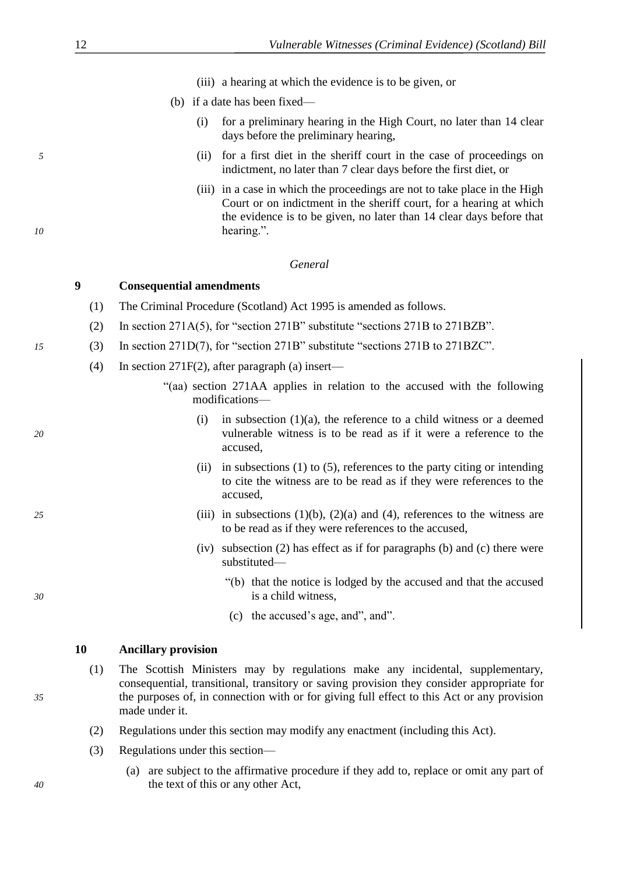- (iii) a hearing at which the evidence is to be given, or
- (b) if a date has been fixed—
	- (i) for a preliminary hearing in the High Court, no later than 14 clear days before the preliminary hearing,
- <span id="page-13-0"></span>*5* (ii) for a first diet in the sheriff court in the case of proceedings on indictment, no later than 7 clear days before the first diet, or
- (iii) in a case in which the proceedings are not to take place in the High Court or on indictment in the sheriff court, for a hearing at which the evidence is to be given, no later than 14 clear days before that *10* hearing.".

### *General*

### **9 Consequential amendments**

- (1) The Criminal Procedure (Scotland) Act 1995 is amended as follows.
- (2) In section 271A(5), for "section 271B" substitute "sections 271B to 271BZB".
- *15* (3) In section 271D(7), for "section 271B" substitute "sections 271B to 271BZC".
	- (4) In section 271F(2), after paragraph (a) insert—
		- "(aa) section 271AA applies in relation to the accused with the following modifications—
- (i) in subsection  $(1)(a)$ , the reference to a child witness or a deemed *20* vulnerable witness is to be read as if it were a reference to the accused,
	- (ii) in subsections (1) to (5), references to the party citing or intending to cite the witness are to be read as if they were references to the accused,
- *25* (iii) in subsections (1)(b), (2)(a) and (4), references to the witness are to be read as if they were references to the accused,
	- (iv) subsection (2) has effect as if for paragraphs (b) and (c) there were substituted—
- "(b) that the notice is lodged by the accused and that the accused *30* is a child witness,
	- (c) the accused's age, and", and".

### **10 Ancillary provision**

- (1) The Scottish Ministers may by regulations make any incidental, supplementary, consequential, transitional, transitory or saving provision they consider appropriate for *35* the purposes of, in connection with or for giving full effect to this Act or any provision made under it.
	- (2) Regulations under this section may modify any enactment (including this Act).
	- (3) Regulations under this section—
- (a) are subject to the affirmative procedure if they add to, replace or omit any part of *40* the text of this or any other Act,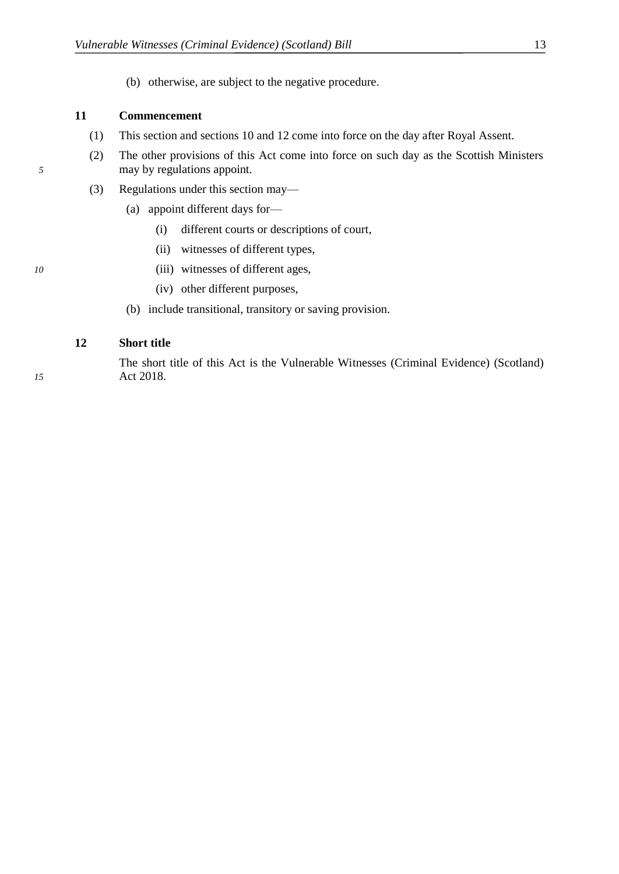(b) otherwise, are subject to the negative procedure.

### <span id="page-14-0"></span>**11 Commencement**

- (1) This section and sections [10](#page-13-0) and [12](#page-14-0) come into force on the day after Royal Assent.
- (2) The other provisions of this Act come into force on such day as the Scottish Ministers *5* may by regulations appoint.
	- (3) Regulations under this section may—
		- (a) appoint different days for—
			- (i) different courts or descriptions of court,
			- (ii) witnesses of different types,
- *10* (iii) witnesses of different ages,
	- (iv) other different purposes,
	- (b) include transitional, transitory or saving provision.

### **12 Short title**

The short title of this Act is the Vulnerable Witnesses (Criminal Evidence) (Scotland) *15* Act 2018.